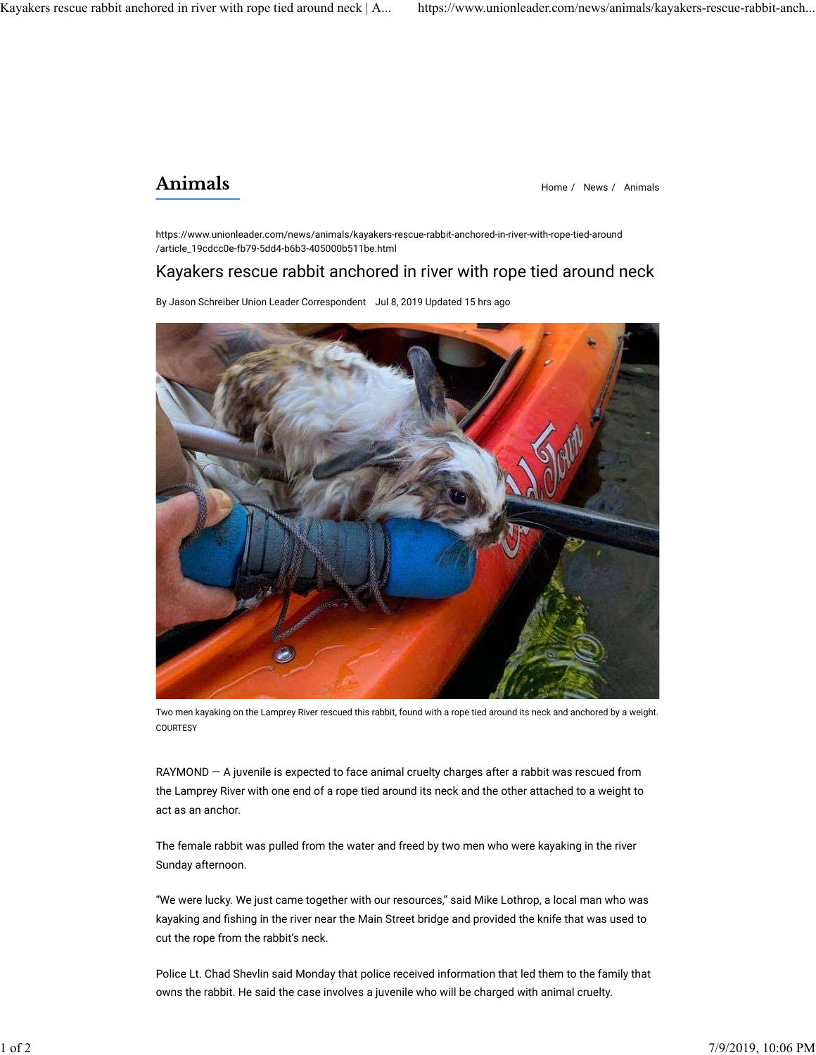## Animals

Home / News / Animals

https://www.unionleader.com/news/animals/kayakers-rescue-rabbit-anchored-in-river-with-rope-tied-around /article\_19cdcc0e-fb79-5dd4-b6b3-405000b511be.html

## Kayakers rescue rabbit anchored in river with rope tied around neck

By Jason Schreiber Union Leader Correspondent Jul 8, 2019 Updated 15 hrs ago



Two men kayaking on the Lamprey River rescued this rabbit, found with a rope tied around its neck and anchored by a weight. **COURTESY** 

RAYMOND — A juvenile is expected to face animal cruelty charges after a rabbit was rescued from the Lamprey River with one end of a rope tied around its neck and the other attached to a weight to act as an anchor.

The female rabbit was pulled from the water and freed by two men who were kayaking in the river Sunday afternoon.

"We were lucky. We just came together with our resources," said Mike Lothrop, a local man who was kayaking and fishing in the river near the Main Street bridge and provided the knife that was used to cut the rope from the rabbit's neck.

Police Lt. Chad Shevlin said Monday that police received information that led them to the family that owns the rabbit. He said the case involves a juvenile who will be charged with animal cruelty.